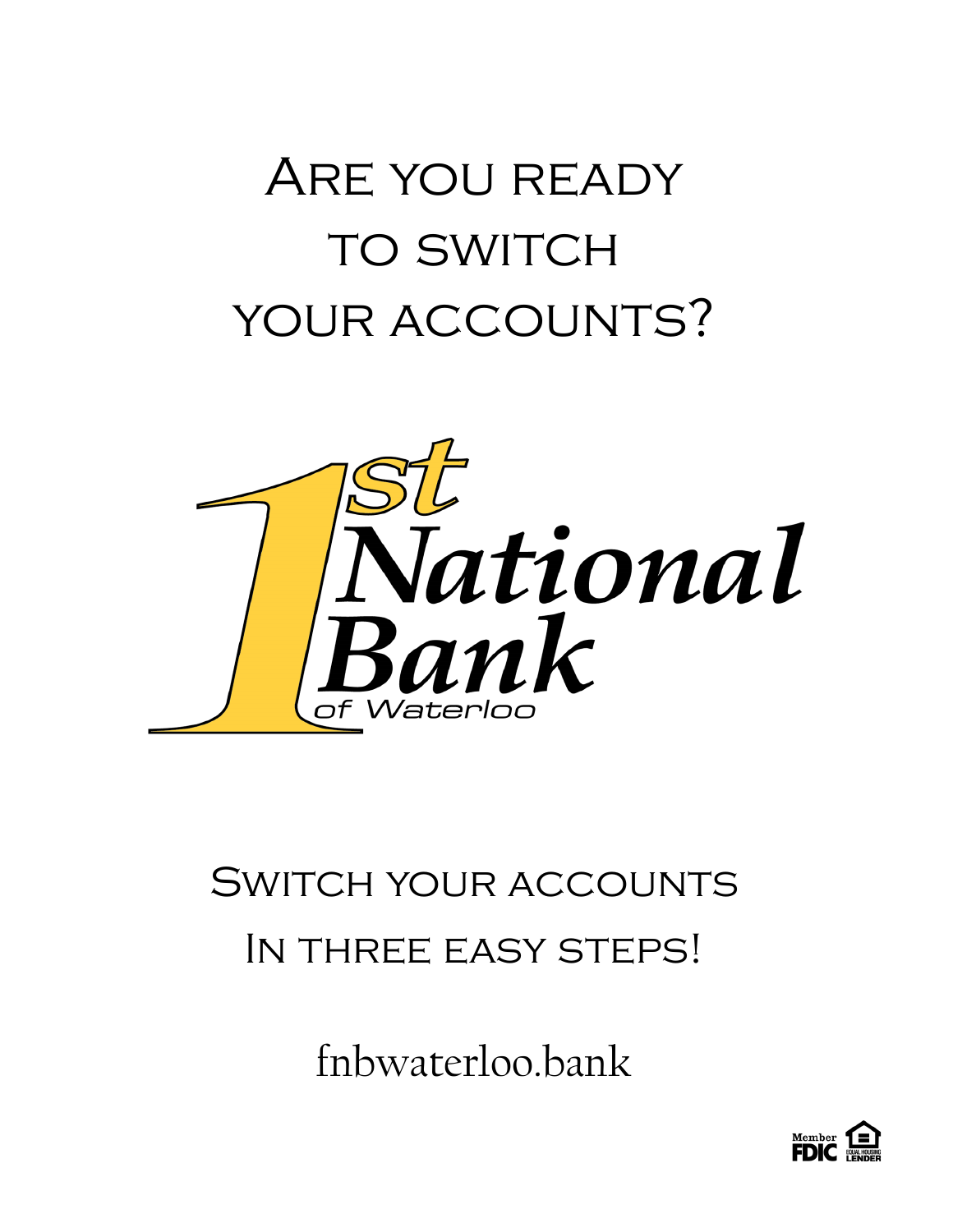# Are you ready **TO SWITCH** your accounts?



## Switch your accounts In three easy steps!

fnbwaterloo.bank

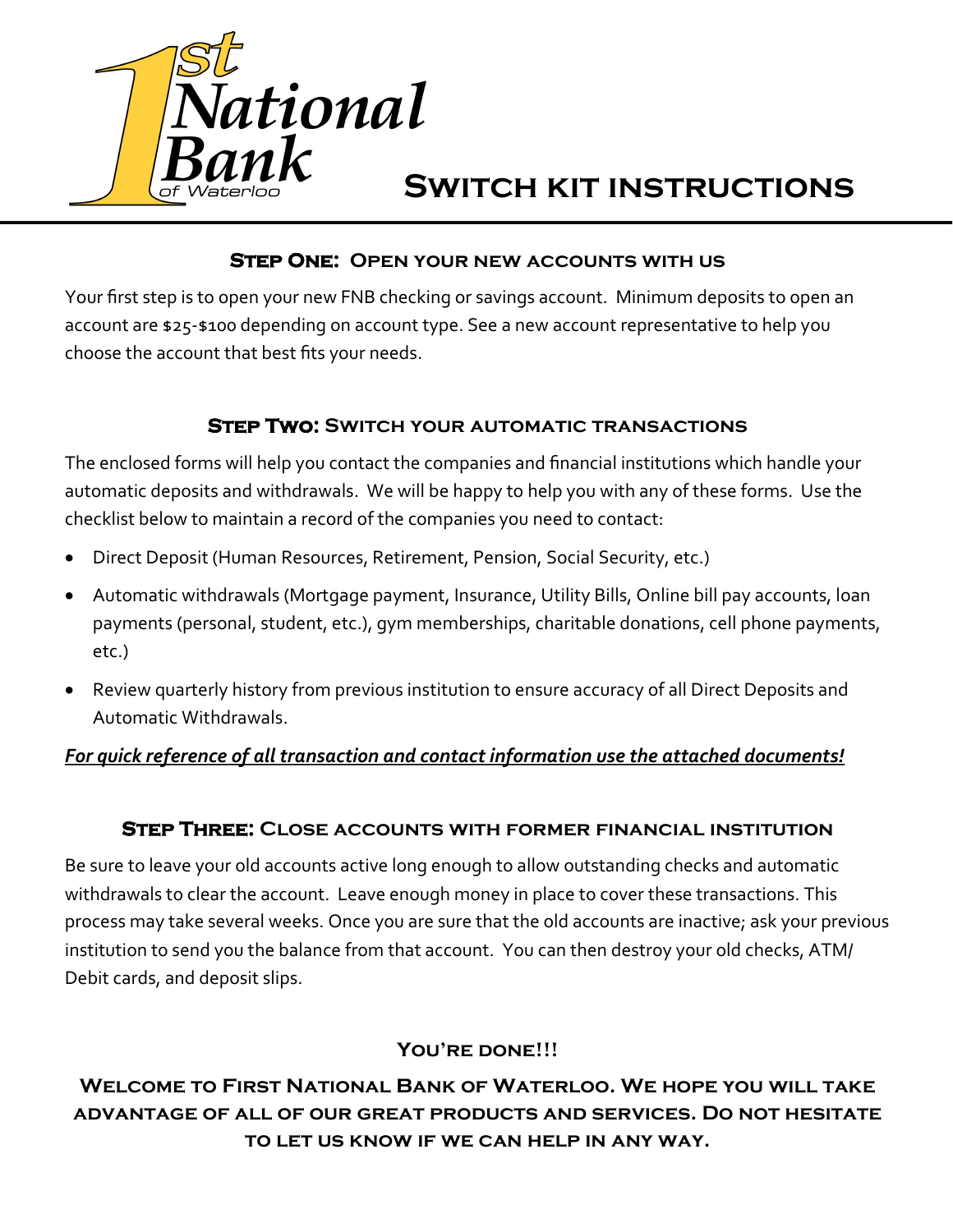

## **Switch kit instructions**

#### **Step One: Open your new accounts with us**

Your first step is to open your new FNB checking or savings account. Minimum deposits to open an account are \$25-\$100 depending on account type. See a new account representative to help you choose the account that best fits your needs.

#### **Step Two: Switch your automatic transactions**

The enclosed forms will help you contact the companies and financial institutions which handle your automatic deposits and withdrawals. We will be happy to help you with any of these forms. Use the checklist below to maintain a record of the companies you need to contact:

- Direct Deposit (Human Resources, Retirement, Pension, Social Security, etc.)
- Automatic withdrawals (Mortgage payment, Insurance, Utility Bills, Online bill pay accounts, loan payments (personal, student, etc.), gym memberships, charitable donations, cell phone payments, etc.)
- Review quarterly history from previous institution to ensure accuracy of all Direct Deposits and Automatic Withdrawals.

#### *For quick reference of all transaction and contact information use the attached documents!*

#### **Step Three: Close accounts with former financial institution**

Be sure to leave your old accounts active long enough to allow outstanding checks and automatic withdrawals to clear the account. Leave enough money in place to cover these transactions. This process may take several weeks. Once you are sure that the old accounts are inactive; ask your previous institution to send you the balance from that account. You can then destroy your old checks, ATM/ Debit cards, and deposit slips.

#### **You're done!!!**

#### **Welcome to First National Bank of Waterloo. We hope you will take advantage of all of our great products and services. Do not hesitate to let us know if we can help in any way.**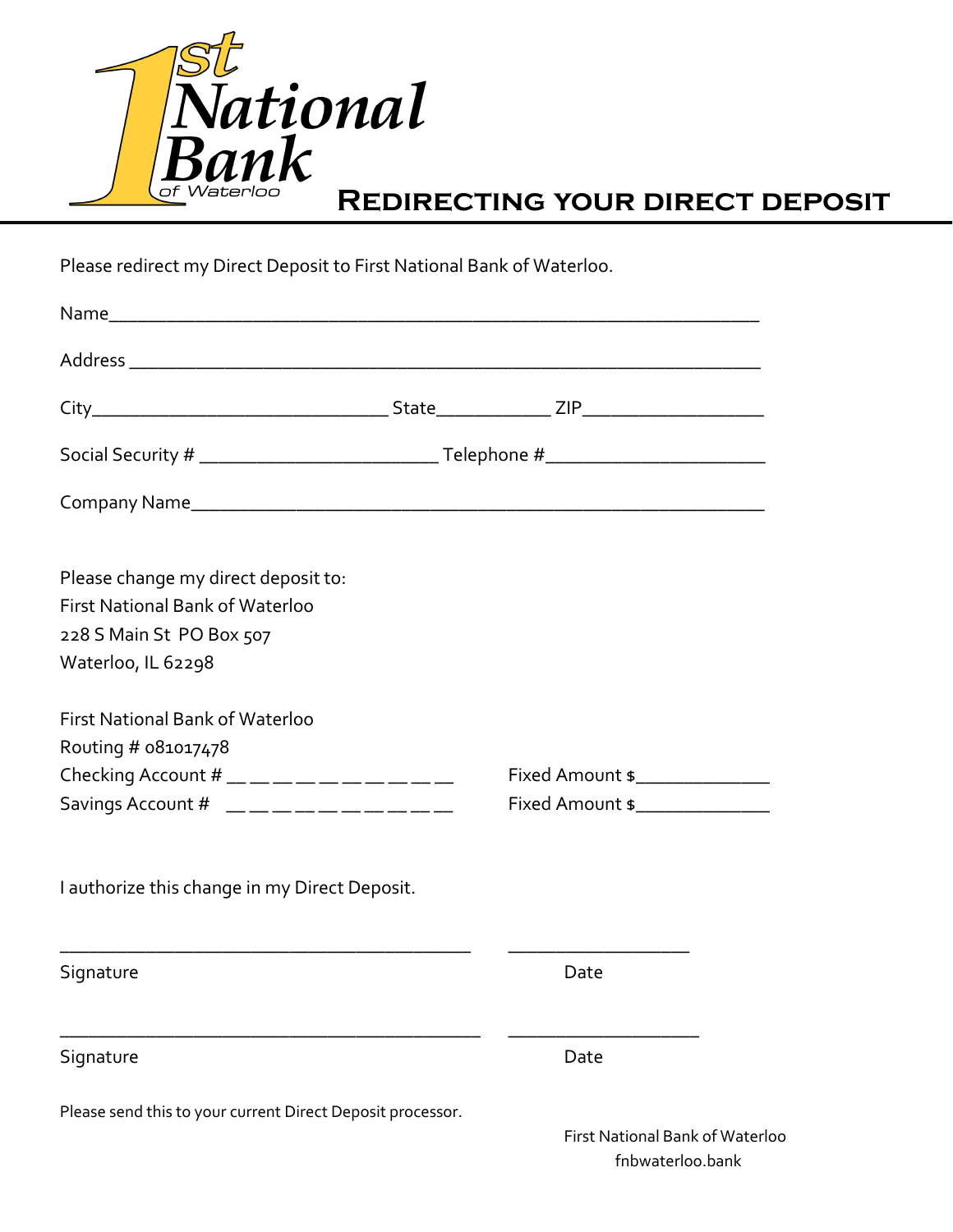

### **Redirecting your direct deposit**

Please redirect my Direct Deposit to First National Bank of Waterloo.

| Please change my direct deposit to:                        |                                        |  |  |
|------------------------------------------------------------|----------------------------------------|--|--|
| <b>First National Bank of Waterloo</b>                     |                                        |  |  |
| 228 S Main St PO Box 507                                   |                                        |  |  |
| Waterloo, IL 62298                                         |                                        |  |  |
| <b>First National Bank of Waterloo</b>                     |                                        |  |  |
| Routing # 081017478                                        |                                        |  |  |
| Checking Account # __ __ __ __ __ __ __ __ __              | Fixed Amount \$_______________         |  |  |
| Savings Account # $\_\_\_$                                 | Fixed Amount \$                        |  |  |
| I authorize this change in my Direct Deposit.              |                                        |  |  |
| Signature                                                  | Date                                   |  |  |
| Signature                                                  | Date                                   |  |  |
| Please send this to your current Direct Deposit processor. | <b>First National Bank of Waterloo</b> |  |  |

fnbwaterloo.bank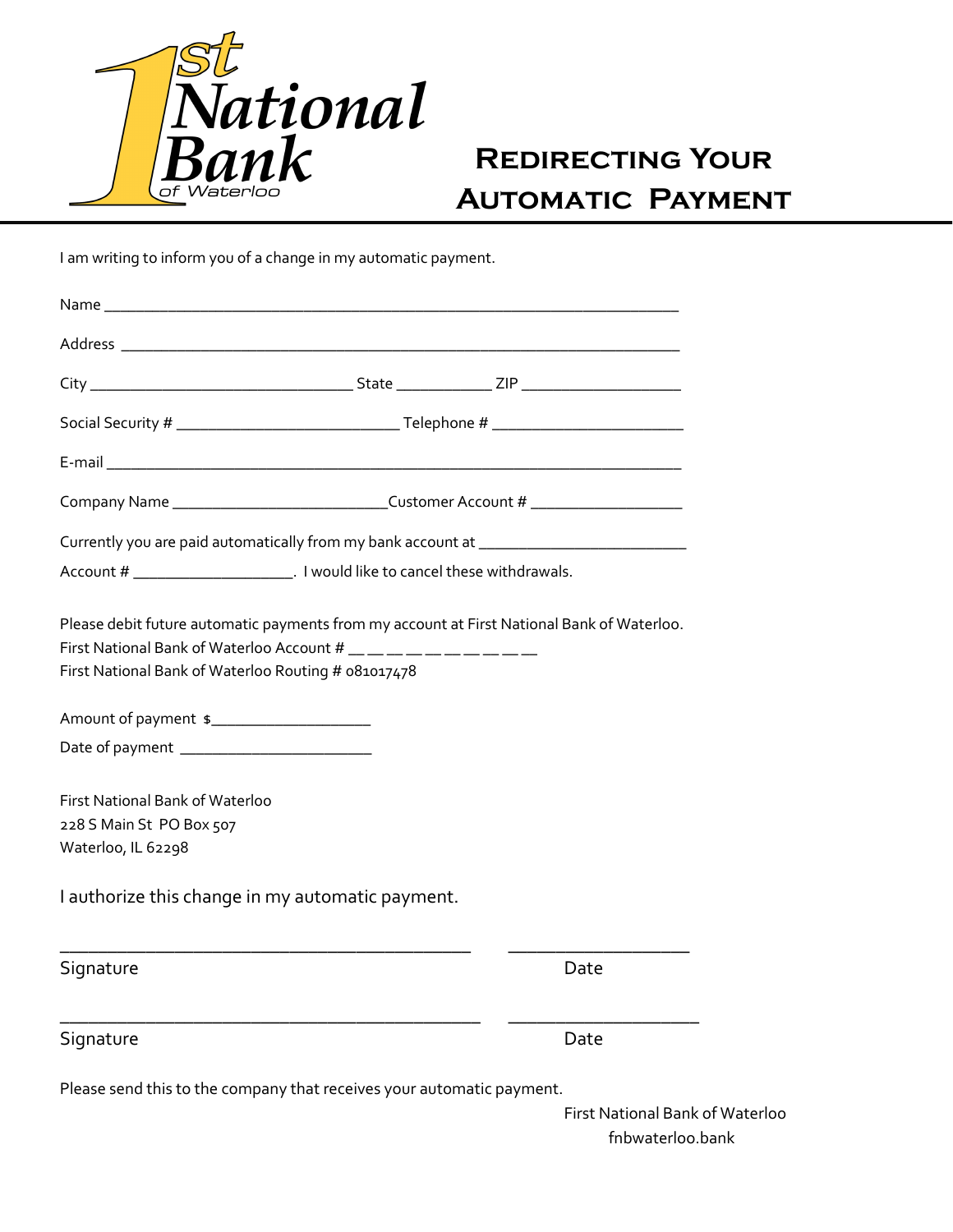

## **Redirecting Your Automatic Payment**

I am writing to inform you of a change in my automatic payment.

|                                                                                                                             |  | Company Name ________________________________Customer Account # ________________           |
|-----------------------------------------------------------------------------------------------------------------------------|--|--------------------------------------------------------------------------------------------|
|                                                                                                                             |  | Currently you are paid automatically from my bank account at ____________________          |
|                                                                                                                             |  |                                                                                            |
| First National Bank of Waterloo Account # __ __ __ __ __ __ __ __ __<br>First National Bank of Waterloo Routing # 081017478 |  | Please debit future automatic payments from my account at First National Bank of Waterloo. |
| Amount of payment \$                                                                                                        |  |                                                                                            |
|                                                                                                                             |  |                                                                                            |
| First National Bank of Waterloo                                                                                             |  |                                                                                            |
| 228 S Main St PO Box 507<br>Waterloo, IL 62298                                                                              |  |                                                                                            |
| I authorize this change in my automatic payment.                                                                            |  |                                                                                            |
| Signature                                                                                                                   |  | Date                                                                                       |
| Signature                                                                                                                   |  | Date                                                                                       |
| Please send this to the company that receives your automatic payment.                                                       |  |                                                                                            |

First National Bank of Waterloo fnbwaterloo.bank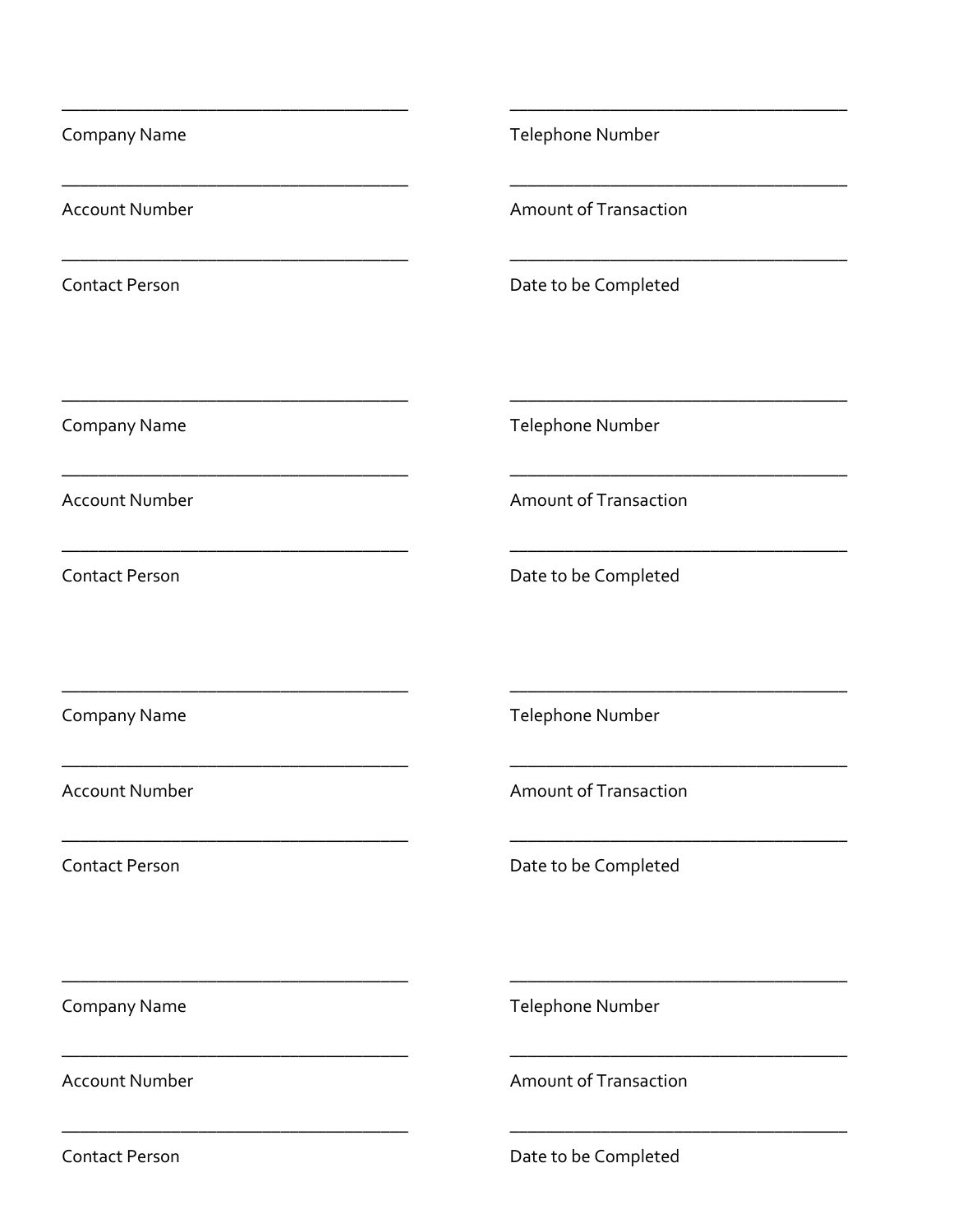| <b>Company Name</b>                                                                                                                            | Telephone Number             |
|------------------------------------------------------------------------------------------------------------------------------------------------|------------------------------|
| <b>Account Number</b>                                                                                                                          | <b>Amount of Transaction</b> |
| <u> 1980 - Johann Barbara, martin da basar da basar da basar da basar da basar da basar da basar da basar da basa</u><br><b>Contact Person</b> | Date to be Completed         |
| Company Name                                                                                                                                   | Telephone Number             |
| <b>Account Number</b>                                                                                                                          | <b>Amount of Transaction</b> |
| <b>Contact Person</b>                                                                                                                          | Date to be Completed         |
| Company Name                                                                                                                                   | Telephone Number             |
| <b>Account Number</b>                                                                                                                          | <b>Amount of Transaction</b> |
| <b>Contact Person</b>                                                                                                                          | Date to be Completed         |
| Company Name                                                                                                                                   | Telephone Number             |
| <b>Account Number</b>                                                                                                                          | <b>Amount of Transaction</b> |
| <b>Contact Person</b>                                                                                                                          | Date to be Completed         |